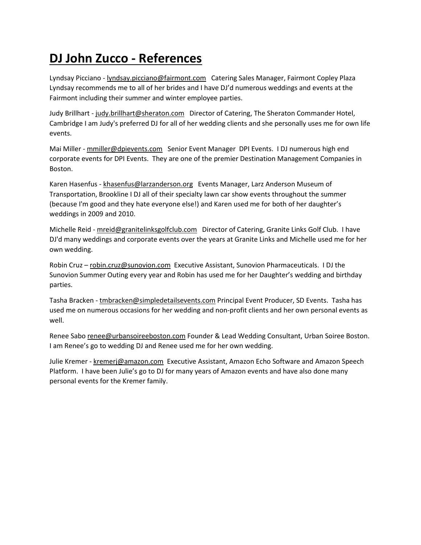## **DJ John Zucco - References**

Lyndsay Picciano - lyndsay.picciano@fairmont.com Catering Sales Manager, Fairmont Copley Plaza Lyndsay recommends me to all of her brides and I have DJ'd numerous weddings and events at the Fairmont including their summer and winter employee parties.

Judy Brillhart - judy.brillhart@sheraton.com Director of Catering, The Sheraton Commander Hotel, Cambridge I am Judy's preferred DJ for all of her wedding clients and she personally uses me for own life events.

Mai Miller - mmiller@dpievents.com Senior Event Manager DPI Events. I DJ numerous high end corporate events for DPI Events. They are one of the premier Destination Management Companies in Boston.

Karen Hasenfus - khasenfus@larzanderson.org Events Manager, Larz Anderson Museum of Transportation, Brookline I DJ all of their specialty lawn car show events throughout the summer (because I'm good and they hate everyone else!) and Karen used me for both of her daughter's weddings in 2009 and 2010.

Michelle Reid - mreid@granitelinksgolfclub.com Director of Catering, Granite Links Golf Club. I have DJ'd many weddings and corporate events over the years at Granite Links and Michelle used me for her own wedding.

Robin Cruz – robin.cruz@sunovion.com Executive Assistant, Sunovion Pharmaceuticals. I DJ the Sunovion Summer Outing every year and Robin has used me for her Daughter's wedding and birthday parties.

Tasha Bracken - tmbracken@simpledetailsevents.com Principal Event Producer, SD Events. Tasha has used me on numerous occasions for her wedding and non-profit clients and her own personal events as well.

Renee Sabo renee@urbansoireeboston.com Founder & Lead Wedding Consultant, Urban Soiree Boston. I am Renee's go to wedding DJ and Renee used me for her own wedding.

Julie Kremer - kremerj@amazon.com Executive Assistant, Amazon Echo Software and Amazon Speech Platform. I have been Julie's go to DJ for many years of Amazon events and have also done many personal events for the Kremer family.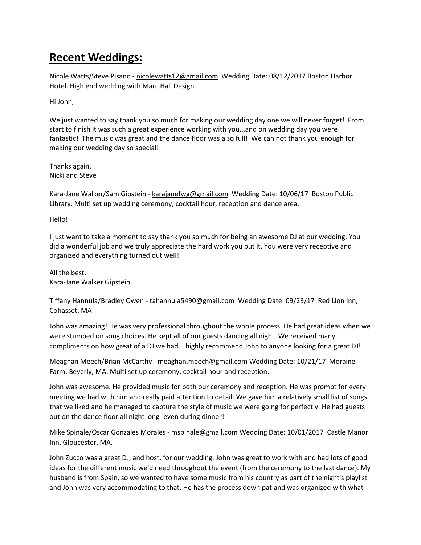## **Recent Weddings:**

Nicole Watts/Steve Pisano - nicolewatts12@gmail.com Wedding Date: 08/12/2017 Boston Harbor Hotel. High end wedding with Marc Hall Design.

Hi John,

We just wanted to say thank you so much for making our wedding day one we will never forget! From start to finish it was such a great experience working with you...and on wedding day you were fantastic! The music was great and the dance floor was also full! We can not thank you enough for making our wedding day so special!

Thanks again, Nicki and Steve

Kara-Jane Walker/Sam Gipstein - karajanefwg@gmail.com Wedding Date: 10/06/17 Boston Public Library. Multi set up wedding ceremony, cocktail hour, reception and dance area.

Hello!

I just want to take a moment to say thank you so much for being an awesome DJ at our wedding. You did a wonderful job and we truly appreciate the hard work you put it. You were very receptive and organized and everything turned out well!

All the best, Kara-Jane Walker Gipstein

Tiffany Hannula/Bradley Owen - tahannula5490@gmail.com Wedding Date: 09/23/17 Red Lion Inn, Cohasset, MA

John was amazing! He was very professional throughout the whole process. He had great ideas when we were stumped on song choices. He kept all of our guests dancing all night. We received many compliments on how great of a DJ we had. I highly recommend John to anyone looking for a great DJ!

Meaghan Meech/Brian McCarthy - meaghan.meech@gmail.com Wedding Date: 10/21/17 Moraine Farm, Beverly, MA. Multi set up ceremony, cocktail hour and reception.

John was awesome. He provided music for both our ceremony and reception. He was prompt for every meeting we had with him and really paid attention to detail. We gave him a relatively small list of songs that we liked and he managed to capture the style of music we were going for perfectly. He had guests out on the dance floor all night long- even during dinner!

Mike Spinale/Oscar Gonzales Morales - mspinale@gmail.com Wedding Date: 10/01/2017 Castle Manor Inn, Gloucester, MA.

John Zucco was a great DJ, and host, for our wedding. John was great to work with and had lots of good ideas for the different music we'd need throughout the event (from the ceremony to the last dance). My husband is from Spain, so we wanted to have some music from his country as part of the night's playlist and John was very accommodating to that. He has the process down pat and was organized with what